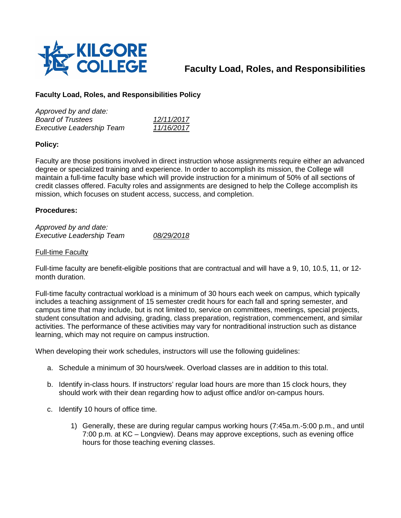

# **Faculty Load, Roles, and Responsibilities**

# **Faculty Load, Roles, and Responsibilities Policy**

| Approved by and date:            |            |
|----------------------------------|------------|
| <b>Board of Trustees</b>         | 12/11/2017 |
| <b>Executive Leadership Team</b> | 11/16/2017 |

## **Policy:**

Faculty are those positions involved in direct instruction whose assignments require either an advanced degree or specialized training and experience. In order to accomplish its mission, the College will maintain a full-time faculty base which will provide instruction for a minimum of 50% of all sections of credit classes offered. Faculty roles and assignments are designed to help the College accomplish its mission, which focuses on student access, success, and completion.

### **Procedures:**

*Approved by and date: Executive Leadership Team 08/29/2018*

#### Full-time Faculty

Full-time faculty are benefit-eligible positions that are contractual and will have a 9, 10, 10.5, 11, or 12 month duration.

Full-time faculty contractual workload is a minimum of 30 hours each week on campus, which typically includes a teaching assignment of 15 semester credit hours for each fall and spring semester, and campus time that may include, but is not limited to, service on committees, meetings, special projects, student consultation and advising, grading, class preparation, registration, commencement, and similar activities. The performance of these activities may vary for nontraditional instruction such as distance learning, which may not require on campus instruction.

When developing their work schedules, instructors will use the following guidelines:

- a. Schedule a minimum of 30 hours/week. Overload classes are in addition to this total.
- b. Identify in-class hours. If instructors' regular load hours are more than 15 clock hours, they should work with their dean regarding how to adjust office and/or on-campus hours.
- c. Identify 10 hours of office time.
	- 1) Generally, these are during regular campus working hours (7:45a.m.-5:00 p.m., and until 7:00 p.m. at KC – Longview). Deans may approve exceptions, such as evening office hours for those teaching evening classes.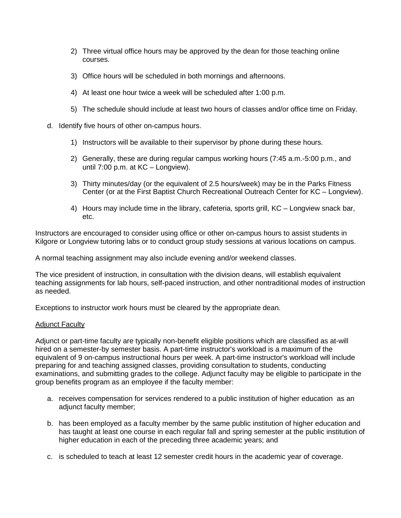- 2) Three virtual office hours may be approved by the dean for those teaching online courses.
- 3) Office hours will be scheduled in both mornings and afternoons.
- 4) At least one hour twice a week will be scheduled after 1:00 p.m.
- 5) The schedule should include at least two hours of classes and/or office time on Friday.
- d. Identify five hours of other on-campus hours.
	- 1) Instructors will be available to their supervisor by phone during these hours.
	- 2) Generally, these are during regular campus working hours (7:45 a.m.-5:00 p.m., and until 7:00 p.m. at KC – Longview).
	- 3) Thirty minutes/day (or the equivalent of 2.5 hours/week) may be in the Parks Fitness Center (or at the First Baptist Church Recreational Outreach Center for KC – Longview).
	- 4) Hours may include time in the library, cafeteria, sports grill, KC Longview snack bar, etc.

Instructors are encouraged to consider using office or other on-campus hours to assist students in Kilgore or Longview tutoring labs or to conduct group study sessions at various locations on campus.

A normal teaching assignment may also include evening and/or weekend classes.

The vice president of instruction, in consultation with the division deans, will establish equivalent teaching assignments for lab hours, self-paced instruction, and other nontraditional modes of instruction as needed.

Exceptions to instructor work hours must be cleared by the appropriate dean.

#### Adjunct Faculty

Adjunct or part-time faculty are typically non-benefit eligible positions which are classified as at-will hired on a semester-by semester basis. A part-time instructor's workload is a maximum of the equivalent of 9 on-campus instructional hours per week. A part-time instructor's workload will include preparing for and teaching assigned classes, providing consultation to students, conducting examinations, and submitting grades to the college. Adjunct faculty may be eligible to participate in the group benefits program as an employee if the faculty member:

- a. receives compensation for services rendered to a public institution of higher education as an adjunct faculty member;
- b. has been employed as a faculty member by the same public institution of higher education and has taught at least one course in each regular fall and spring semester at the public institution of higher education in each of the preceding three academic years; and
- c. is scheduled to teach at least 12 semester credit hours in the academic year of coverage.